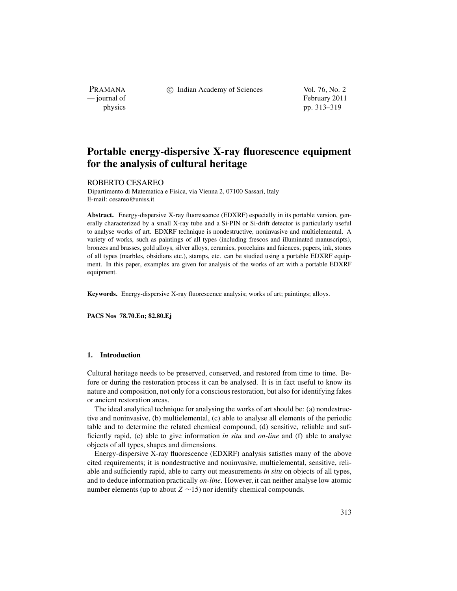PRAMANA<br>
— journal of

c Indian Academy of Sciences Vol. 76, No. 2

February 2011 physics pp. 313–319

# **Portable energy-dispersive X-ray fluorescence equipment for the analysis of cultural heritage**

# ROBERTO CESAREO

Dipartimento di Matematica e Fisica, via Vienna 2, 07100 Sassari, Italy E-mail: cesareo@uniss.it

**Abstract.** Energy-dispersive X-ray fluorescence (EDXRF) especially in its portable version, generally characterized by a small X-ray tube and a Si-PIN or Si-drift detector is particularly useful to analyse works of art. EDXRF technique is nondestructive, noninvasive and multielemental. A variety of works, such as paintings of all types (including frescos and illuminated manuscripts), bronzes and brasses, gold alloys, silver alloys, ceramics, porcelains and faiences, papers, ink, stones of all types (marbles, obsidians etc.), stamps, etc. can be studied using a portable EDXRF equipment. In this paper, examples are given for analysis of the works of art with a portable EDXRF equipment.

**Keywords.** Energy-dispersive X-ray fluorescence analysis; works of art; paintings; alloys.

**PACS Nos 78.70.En; 82.80.Ej**

# **1. Introduction**

Cultural heritage needs to be preserved, conserved, and restored from time to time. Before or during the restoration process it can be analysed. It is in fact useful to know its nature and composition, not only for a conscious restoration, but also for identifying fakes or ancient restoration areas.

The ideal analytical technique for analysing the works of art should be: (a) nondestructive and noninvasive, (b) multielemental, (c) able to analyse all elements of the periodic table and to determine the related chemical compound, (d) sensitive, reliable and sufficiently rapid, (e) able to give information *in situ* and *on-line* and (f) able to analyse objects of all types, shapes and dimensions.

Energy-dispersive X-ray fluorescence (EDXRF) analysis satisfies many of the above cited requirements; it is nondestructive and noninvasive, multielemental, sensitive, reliable and sufficiently rapid, able to carry out measurements *in situ* on objects of all types, and to deduce information practically *on-line*. However, it can neither analyse low atomic number elements (up to about *Z* ∼15) nor identify chemical compounds.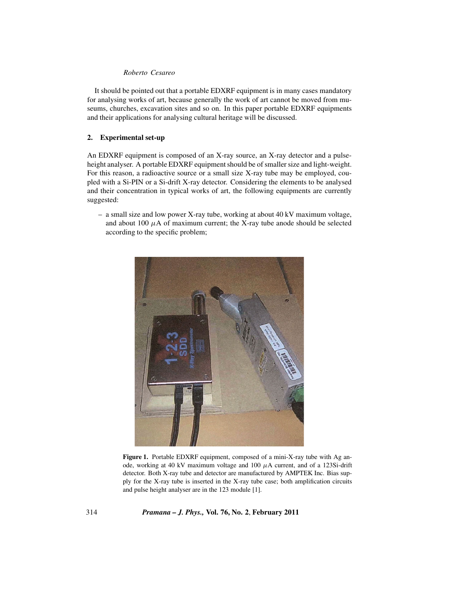# *Roberto Cesareo*

It should be pointed out that a portable EDXRF equipment is in many cases mandatory for analysing works of art, because generally the work of art cannot be moved from museums, churches, excavation sites and so on. In this paper portable EDXRF equipments and their applications for analysing cultural heritage will be discussed.

## **2. Experimental set-up**

An EDXRF equipment is composed of an X-ray source, an X-ray detector and a pulseheight analyser. A portable EDXRF equipment should be of smaller size and light-weight. For this reason, a radioactive source or a small size X-ray tube may be employed, coupled with a Si-PIN or a Si-drift X-ray detector. Considering the elements to be analysed and their concentration in typical works of art, the following equipments are currently suggested:

– a small size and low power X-ray tube, working at about 40 kV maximum voltage, and about 100  $\mu$ A of maximum current; the X-ray tube anode should be selected according to the specific problem;



**Figure 1.** Portable EDXRF equipment, composed of a mini-X-ray tube with Ag anode, working at 40 kV maximum voltage and 100 μA current, and of a 123Si-drift detector. Both X-ray tube and detector are manufactured by AMPTEK Inc. Bias supply for the X-ray tube is inserted in the X-ray tube case; both amplification circuits and pulse height analyser are in the 123 module [1].

314 *Pramana – J. Phys.,* **Vol. 76, No. 2**, **February 2011**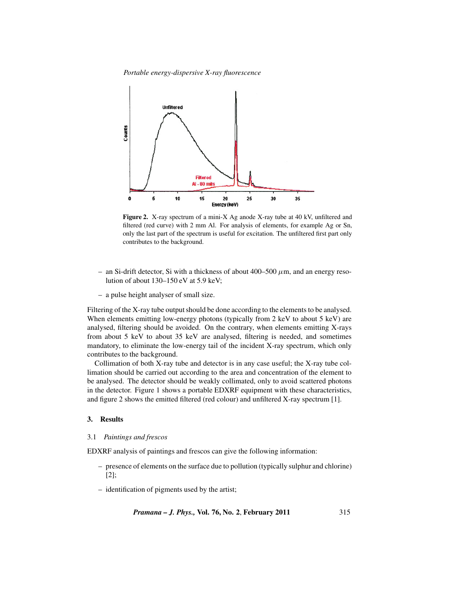*Portable energy-dispersive X-ray fluorescence*



**Figure 2.** X-ray spectrum of a mini-X Ag anode X-ray tube at 40 kV, unfiltered and filtered (red curve) with 2 mm Al. For analysis of elements, for example Ag or Sn, only the last part of the spectrum is useful for excitation. The unfiltered first part only contributes to the background.

- an Si-drift detector, Si with a thickness of about  $400-500 \mu$ m, and an energy resolution of about 130–150 eV at 5.9 keV;
- a pulse height analyser of small size.

Filtering of the X-ray tube outputshould be done according to the elements to be analysed. When elements emitting low-energy photons (typically from  $2 \text{ keV}$  to about  $5 \text{ keV}$ ) are analysed, filtering should be avoided. On the contrary, when elements emitting X-rays from about 5 keV to about 35 keV are analysed, filtering is needed, and sometimes mandatory, to eliminate the low-energy tail of the incident X-ray spectrum, which only contributes to the background.

Collimation of both X-ray tube and detector is in any case useful; the X-ray tube collimation should be carried out according to the area and concentration of the element to be analysed. The detector should be weakly collimated, only to avoid scattered photons in the detector. Figure 1 shows a portable EDXRF equipment with these characteristics, and figure 2 shows the emitted filtered (red colour) and unfiltered X-ray spectrum [1].

# **3. Results**

#### 3.1 *Paintings and frescos*

EDXRF analysis of paintings and frescos can give the following information:

- presence of elements on the surface due to pollution (typically sulphur and chlorine) [2];
- identification of pigments used by the artist;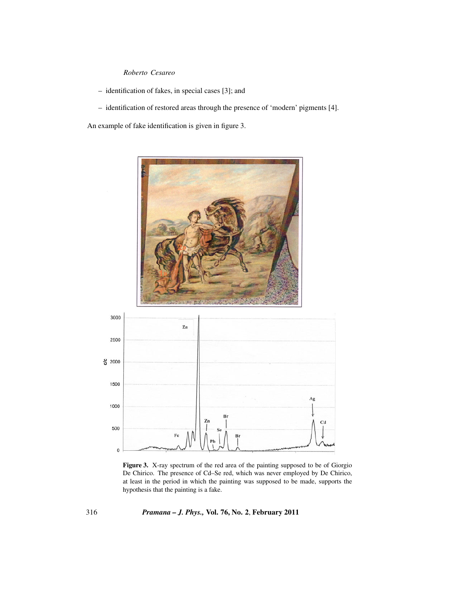# *Roberto Cesareo*

- identification of fakes, in special cases [3]; and
- identification of restored areas through the presence of 'modern' pigments [4].

An example of fake identification is given in figure 3.



**Figure 3.** X-ray spectrum of the red area of the painting supposed to be of Giorgio De Chirico. The presence of Cd–Se red, which was never employed by De Chirico, at least in the period in which the painting was supposed to be made, supports the hypothesis that the painting is a fake.

316 *Pramana – J. Phys.,* **Vol. 76, No. 2**, **February 2011**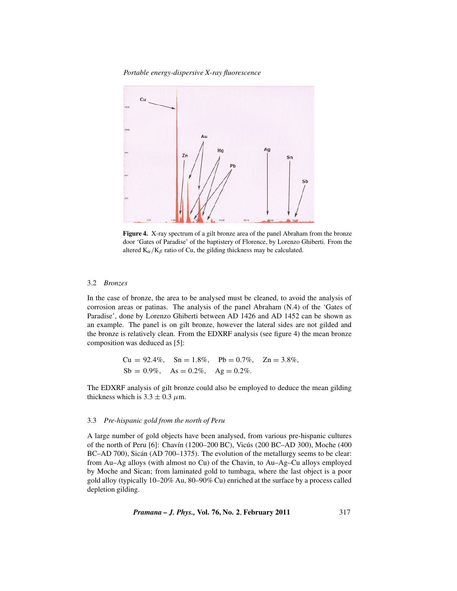*Portable energy-dispersive X-ray fluorescence*



**Figure 4.** X-ray spectrum of a gilt bronze area of the panel Abraham from the bronze door 'Gates of Paradise' of the baptistery of Florence, by Lorenzo Ghiberti. From the altered  $K_{\alpha}/K_{\beta}$  ratio of Cu, the gilding thickness may be calculated.

# 3.2 *Bronzes*

In the case of bronze, the area to be analysed must be cleaned, to avoid the analysis of corrosion areas or patinas. The analysis of the panel Abraham (N.4) of the 'Gates of Paradise', done by Lorenzo Ghiberti between AD 1426 and AD 1452 can be shown as an example. The panel is on gilt bronze, however the lateral sides are not gilded and the bronze is relatively clean. From the EDXRF analysis (see figure 4) the mean bronze composition was deduced as [5]:

> $Cu = 92.4\%, \quad Sn = 1.8\%, \quad Pb = 0.7\%, \quad Zn = 3.8\%,$  $Sb = 0.9\%, \quad As = 0.2\%, \quad Ag = 0.2\%.$

The EDXRF analysis of gilt bronze could also be employed to deduce the mean gilding thickness which is  $3.3 \pm 0.3 \mu$ m.

# 3.3 *Pre-hispanic gold from the north of Peru*

A large number of gold objects have been analysed, from various pre-hispanic cultures of the north of Peru [6]: Chavín (1200–200 BC), Vicús (200 BC–AD 300), Moche (400 BC–AD 700), Sicán (AD 700–1375). The evolution of the metallurgy seems to be clear: from Au–Ag alloys (with almost no Cu) of the Chavin, to Au–Ag–Cu alloys employed by Moche and Sican; from laminated gold to tumbaga, where the last object is a poor gold alloy (typically 10–20% Au, 80–90% Cu) enriched at the surface by a process called depletion gilding.

*Pramana – J. Phys.,* **Vol. 76, No. 2**, **February 2011** 317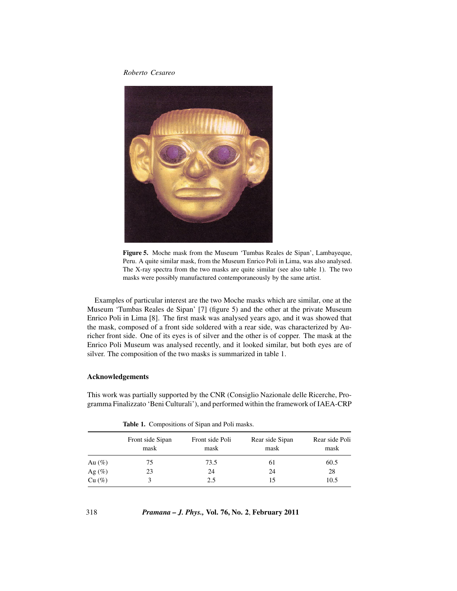*Roberto Cesareo*



**Figure 5.** Moche mask from the Museum 'Tumbas Reales de Sipan', Lambayeque, Peru. A quite similar mask, from the Museum Enrico Poli in Lima, was also analysed. The X-ray spectra from the two masks are quite similar (see also table 1). The two masks were possibly manufactured contemporaneously by the same artist.

Examples of particular interest are the two Moche masks which are similar, one at the Museum 'Tumbas Reales de Sipan' [7] (figure 5) and the other at the private Museum Enrico Poli in Lima [8]. The first mask was analysed years ago, and it was showed that the mask, composed of a front side soldered with a rear side, was characterized by Auricher front side. One of its eyes is of silver and the other is of copper. The mask at the Enrico Poli Museum was analysed recently, and it looked similar, but both eyes are of silver. The composition of the two masks is summarized in table 1.

# **Acknowledgements**

This work was partially supported by the CNR (Consiglio Nazionale delle Ricerche, Programma Finalizzato 'Beni Culturali'), and performed within the framework of IAEA-CRP

|           | Front side Sipan<br>mask | Front side Poli<br>mask | Rear side Sipan<br>mask | Rear side Poli<br>mask |
|-----------|--------------------------|-------------------------|-------------------------|------------------------|
| Au $(\%)$ | 75                       | 73.5                    | 61                      | 60.5                   |
| Ag $(\%)$ | 23                       | 24                      | 24                      | 28                     |
| Cu (%)    |                          | 2.5                     | 15                      | 10.5                   |

**Table 1.** Compositions of Sipan and Poli masks.

318 *Pramana – J. Phys.,* **Vol. 76, No. 2**, **February 2011**